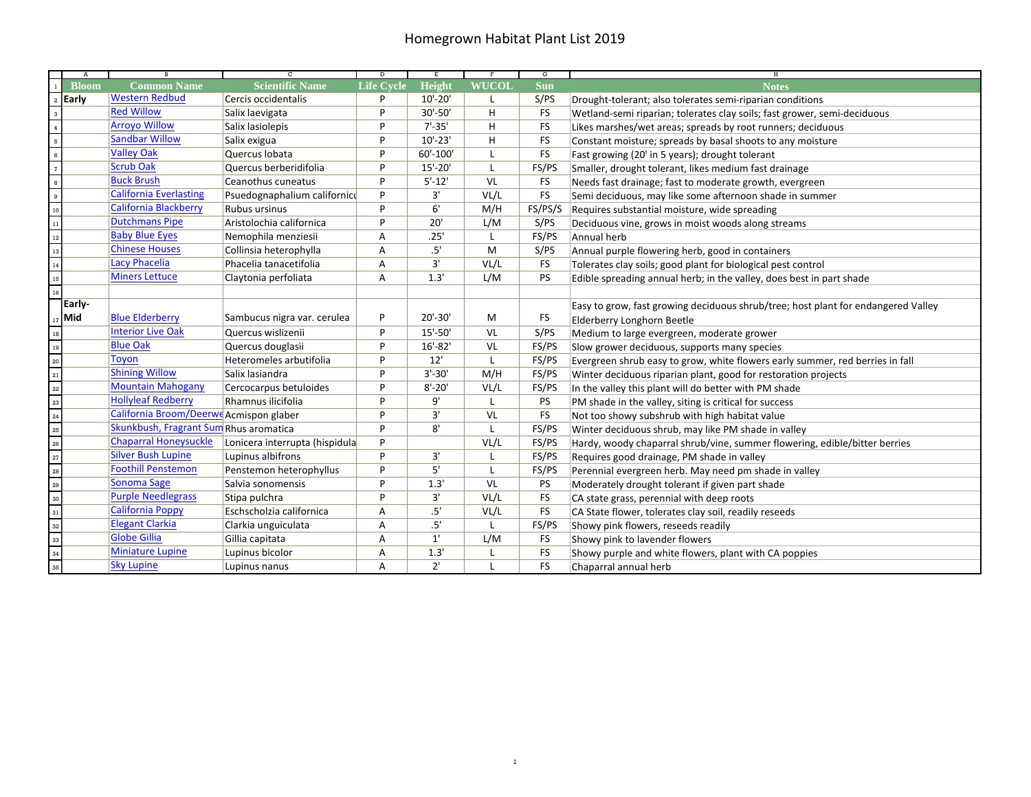## Homegrown Habitat Plant List 2019

| A                                                                                     | B                                       | ਰ                              | Þ                 | Έ            |              | G          | н                                                                                 |
|---------------------------------------------------------------------------------------|-----------------------------------------|--------------------------------|-------------------|--------------|--------------|------------|-----------------------------------------------------------------------------------|
| <b>Bloom</b>                                                                          | <b>Common Name</b>                      | <b>Scientific Name</b>         | <b>Life Cycle</b> | Height       | <b>WUCOL</b> | <b>Sun</b> | <b>Notes</b>                                                                      |
| Early<br>$\,$ 2 $\,$                                                                  | <b>Western Redbud</b>                   | Cercis occidentalis            | P                 | $10'-20'$    | L            | S/PS       | Drought-tolerant; also tolerates semi-riparian conditions                         |
| $\overline{\phantom{a}}$                                                              | <b>Red Willow</b>                       | Salix laevigata                | P                 | 30'-50'      | H            | <b>FS</b>  | Wetland-semi riparian; tolerates clay soils; fast grower, semi-deciduous          |
| $\overline{4}$                                                                        | <b>Arroyo Willow</b>                    | Salix lasiolepis               | P                 | $7' - 35'$   | H            | <b>FS</b>  | Likes marshes/wet areas; spreads by root runners; deciduous                       |
| $\overline{\phantom{a}}$                                                              | <b>Sandbar Willow</b>                   | Salix exigua                   | P                 | $10'-23'$    | H            | <b>FS</b>  | Constant moisture; spreads by basal shoots to any moisture                        |
| $\frac{1}{6}$                                                                         | <b>Valley Oak</b>                       | Quercus Iobata                 | P                 | 60'-100'     | $\mathbf{I}$ | <b>FS</b>  | Fast growing (20' in 5 years); drought tolerant                                   |
| $\frac{1}{7}$                                                                         | <b>Scrub Oak</b>                        | Quercus berberidifolia         | P                 | $15' - 20'$  | $\mathsf{L}$ | FS/PS      | Smaller, drought tolerant, likes medium fast drainage                             |
|                                                                                       | <b>Buck Brush</b>                       | Ceanothus cuneatus             | P                 | $5' - 12'$   | VL           | <b>FS</b>  | Needs fast drainage; fast to moderate growth, evergreen                           |
|                                                                                       | <b>California Everlasting</b>           | Psuedognaphalium californicu   | P                 | 3'           | VL/L         | <b>FS</b>  | Semi deciduous, may like some afternoon shade in summer                           |
| $\begin{array}{c c}\n\hline\n8 \\ \hline\n9 \\ \hline\n10 \\ \hline\n11\n\end{array}$ | <b>California Blackberry</b>            | Rubus ursinus                  | P                 | 6'           | M/H          | FS/PS/S    | Requires substantial moisture, wide spreading                                     |
|                                                                                       | <b>Dutchmans Pipe</b>                   | Aristolochia californica       | P                 | 20'          | L/M          | S/PS       | Deciduous vine, grows in moist woods along streams                                |
| $\frac{1}{12}$                                                                        | <b>Baby Blue Eyes</b>                   | Nemophila menziesii            | А                 | .25'         | $\mathsf{L}$ | FS/PS      | Annual herb                                                                       |
| $\frac{1}{13}$                                                                        | <b>Chinese Houses</b>                   | Collinsia heterophylla         | A                 | .5'          | M            | S/PS       | Annual purple flowering herb, good in containers                                  |
| $\frac{1}{14}$                                                                        | Lacy Phacelia                           | Phacelia tanacetifolia         | А                 | 3'           | VL/L         | <b>FS</b>  | Tolerates clay soils; good plant for biological pest control                      |
| $\frac{15}{16}$                                                                       | <b>Miners Lettuce</b>                   | Claytonia perfoliata           | А                 | 1.3'         | L/M          | PS         | Edible spreading annual herb; in the valley, does best in part shade              |
|                                                                                       |                                         |                                |                   |              |              |            |                                                                                   |
| Early-                                                                                |                                         |                                |                   |              |              |            | Easy to grow, fast growing deciduous shrub/tree; host plant for endangered Valley |
| $_{17}$ Mid                                                                           | <b>Blue Elderberry</b>                  | Sambucus nigra var. cerulea    | P                 | $20' - 30'$  | M            | <b>FS</b>  | Elderberry Longhorn Beetle                                                        |
| $\frac{1}{18}$                                                                        | <b>Interior Live Oak</b>                | Quercus wislizenii             | P                 | 15'-50'      | VL           | S/PS       | Medium to large evergreen, moderate grower                                        |
| $\overline{\phantom{0}}_{19}$                                                         | <b>Blue Oak</b>                         | Quercus douglasii              | P                 | $16' - 82'$  | VL           | FS/PS      | Slow grower deciduous, supports many species                                      |
| 20<br>21<br>22<br>23<br>24<br>25<br>26<br>27<br>28<br>30                              | <b>Toyon</b>                            | Heteromeles arbutifolia        | P                 | 12'          | $\mathsf{L}$ | FS/PS      | Evergreen shrub easy to grow, white flowers early summer, red berries in fall     |
|                                                                                       | <b>Shining Willow</b>                   | Salix lasiandra                | P                 | $3'-30'$     | M/H          | FS/PS      | Winter deciduous riparian plant, good for restoration projects                    |
|                                                                                       | <b>Mountain Mahogany</b>                | Cercocarpus betuloides         | P                 | $8' - 20'$   | VL/L         | FS/PS      | In the valley this plant will do better with PM shade                             |
|                                                                                       | <b>Hollyleaf Redberry</b>               | Rhamnus ilicifolia             | P                 | 9'           | L            | PS         | PM shade in the valley, siting is critical for success                            |
|                                                                                       | California Broom/Deerwe Acmispon glaber |                                | P                 | 3'           | VL           | <b>FS</b>  | Not too showy subshrub with high habitat value                                    |
|                                                                                       | Skunkbush, Fragrant Sum Rhus aromatica  |                                | P                 | 8'           | L            | FS/PS      | Winter deciduous shrub, may like PM shade in valley                               |
|                                                                                       | <b>Chaparral Honeysuckle</b>            | Lonicera interrupta (hispidula | P                 |              | VL/L         | FS/PS      | Hardy, woody chaparral shrub/vine, summer flowering, edible/bitter berries        |
|                                                                                       | <b>Silver Bush Lupine</b>               | Lupinus albifrons              | P                 | 3'           | L            | FS/PS      | Requires good drainage, PM shade in valley                                        |
|                                                                                       | <b>Foothill Penstemon</b>               | Penstemon heterophyllus        | P                 | 5'           | L            | FS/PS      | Perennial evergreen herb. May need pm shade in valley                             |
|                                                                                       | Sonoma Sage                             | Salvia sonomensis              | P                 | 1.3'         | VL           | <b>PS</b>  | Moderately drought tolerant if given part shade                                   |
|                                                                                       | <b>Purple Needlegrass</b>               | Stipa pulchra                  | P                 | 3'           | VL/L         | <b>FS</b>  | CA state grass, perennial with deep roots                                         |
| 31                                                                                    | California Poppy                        | Eschscholzia californica       | А                 | .5'          | VL/L         | <b>FS</b>  | CA State flower, tolerates clay soil, readily reseeds                             |
| 32                                                                                    | <b>Elegant Clarkia</b>                  | Clarkia unguiculata            | Α                 | .5'          | L            | FS/PS      | Showy pink flowers, reseeds readily                                               |
| 33                                                                                    | <b>Globe Gillia</b>                     | Gillia capitata                | Α                 | 1'           | L/M          | <b>FS</b>  | Showy pink to lavender flowers                                                    |
| 34                                                                                    | <b>Miniature Lupine</b>                 | Lupinus bicolor                | Α                 | 1.3'         | L            | <b>FS</b>  | Showy purple and white flowers, plant with CA poppies                             |
| $\frac{1}{35}$                                                                        | <b>Sky Lupine</b>                       | Lupinus nanus                  | Α                 | $2^{\prime}$ | $\mathbf{I}$ | <b>FS</b>  | Chaparral annual herb                                                             |